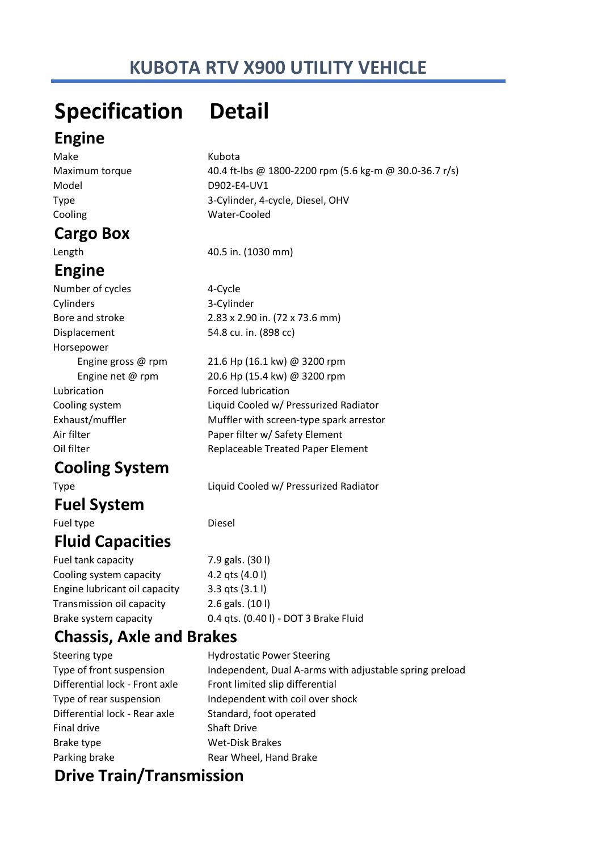# **KUBOTA RTV X900 UTILITY VEHICLE**

# **Specification Detail**

### **Engine**

Make Kubota Model D902-E4-UV1 Cooling Water-Cooled

### **Cargo Box**

# **Engine**

Number of cycles 4-Cycle Cylinders 3-Cylinder Displacement 54.8 cu. in. (898 cc) Horsepower Lubrication **Forced** lubrication

# **Cooling System**

## **Fuel System**

Fuel type **Diesel** 

# **Fluid Capacities**

Fuel tank capacity 7.9 gals. (301) Cooling system capacity 4.2 qts (4.0 l) Engine lubricant oil capacity 3.3 qts (3.1 l) Transmission oil capacity 2.6 gals. (10 l) Brake system capacity 0.4 qts. (0.40 l) - DOT 3 Brake Fluid

# **Chassis, Axle and Brakes**

Steering type **Hydrostatic Power Steering** Differential lock - Rear axle Standard, foot operated Final drive Shaft Drive Brake type Wet-Disk Brakes Parking brake **Rear Wheel**, Hand Brake

Type of front suspension Independent, Dual A-arms with adjustable spring preload Differential lock - Front axle Front limited slip differential Type of rear suspension Independent with coil over shock

# **Drive Train/Transmission**

Maximum torque 40.4 ft-lbs @ 1800-2200 rpm (5.6 kg-m @ 30.0-36.7 r/s) Type 3-Cylinder, 4-cycle, Diesel, OHV

Length 40.5 in. (1030 mm)

Bore and stroke 2.83 x 2.90 in. (72 x 73.6 mm)

 Engine gross @ rpm 21.6 Hp (16.1 kw) @ 3200 rpm Engine net @ rpm 20.6 Hp (15.4 kw) @ 3200 rpm Cooling system Liquid Cooled w/ Pressurized Radiator Exhaust/muffler Muffler with screen-type spark arrestor Air filter **Air filter WAIR** Paper filter w/ Safety Element Oil filter **Neplaceable Treated Paper Element** 

Type Liquid Cooled w/ Pressurized Radiator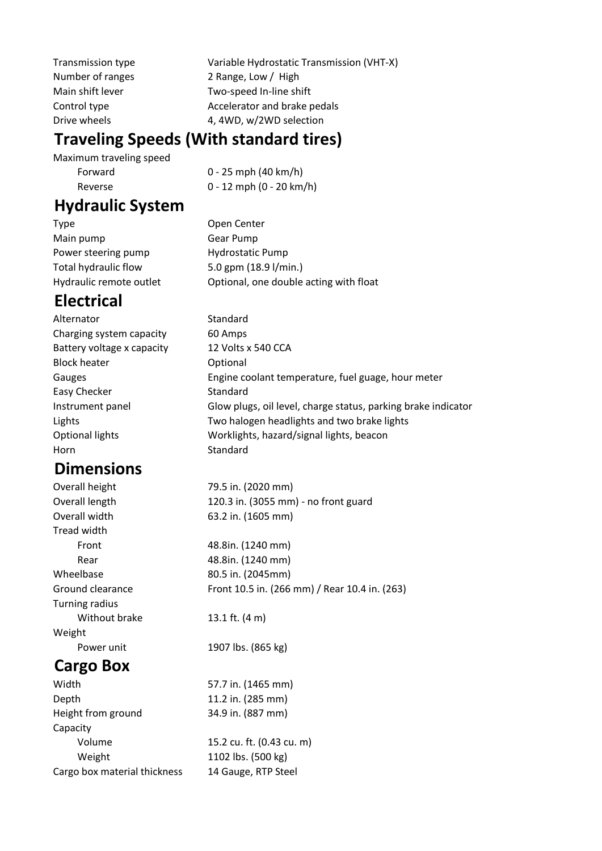Transmission type Variable Hydrostatic Transmission (VHT-X) Number of ranges 2 Range, Low / High Main shift lever Two-speed In-line shift Control type **Accelerator** and brake pedals Drive wheels 4, 4WD, w/2WD selection

### **Traveling Speeds (With standard tires)**

Maximum traveling speed Forward 0 - 25 mph (40 km/h)

Reverse 0 - 12 mph (0 - 20 km/h)

### **Hydraulic System**

Type Open Center Main pump Gear Pump Power steering pump **Hydrostatic Pump** Total hydraulic flow 5.0 gpm (18.9 l/min.) Hydraulic remote outlet **Optional**, one double acting with float

# **Electrical**

| Alternator                 | Standard                                                      |
|----------------------------|---------------------------------------------------------------|
| Charging system capacity   | 60 Amps                                                       |
| Battery voltage x capacity | 12 Volts x 540 CCA                                            |
| <b>Block heater</b>        | Optional                                                      |
| Gauges                     | Engine coolant temperature, fuel guage, hour meter            |
| Easy Checker               | Standard                                                      |
| Instrument panel           | Glow plugs, oil level, charge status, parking brake indicator |
| Lights                     | Two halogen headlights and two brake lights                   |
| Optional lights            | Worklights, hazard/signal lights, beacon                      |
| Horn                       | Standard                                                      |

### **Dimensions** Overall height 79.5 in. (2020 mm)

|                       | , , , , , , , , <u>, , , , , , , , , , ,</u>  |
|-----------------------|-----------------------------------------------|
| Overall length        | 120.3 in. (3055 mm) - no front guard          |
| Overall width         | 63.2 in. (1605 mm)                            |
| Tread width           |                                               |
| Front                 | 48.8in. (1240 mm)                             |
| Rear                  | 48.8in. (1240 mm)                             |
| Wheelbase             | 80.5 in. (2045mm)                             |
| Ground clearance      | Front 10.5 in. (266 mm) / Rear 10.4 in. (263) |
| <b>Turning radius</b> |                                               |
| Without brake         | 13.1 ft. $(4 \text{ m})$                      |
| Weight                |                                               |
| Power unit            | 1907 lbs. (865 kg)                            |
| <b>Cargo Box</b>      |                                               |
|                       |                                               |

# Width 57.7 in. (1465 mm)

| <b>VVIULII</b>               | J / III. 1403 IIIIII      |
|------------------------------|---------------------------|
| Depth                        | 11.2 in. (285 mm)         |
| Height from ground           | 34.9 in. (887 mm)         |
| Capacity                     |                           |
| Volume                       | 15.2 cu. ft. (0.43 cu. m) |
| Weight                       | 1102 lbs. (500 kg)        |
| Cargo box material thickness | 14 Gauge, RTP Steel       |
|                              |                           |